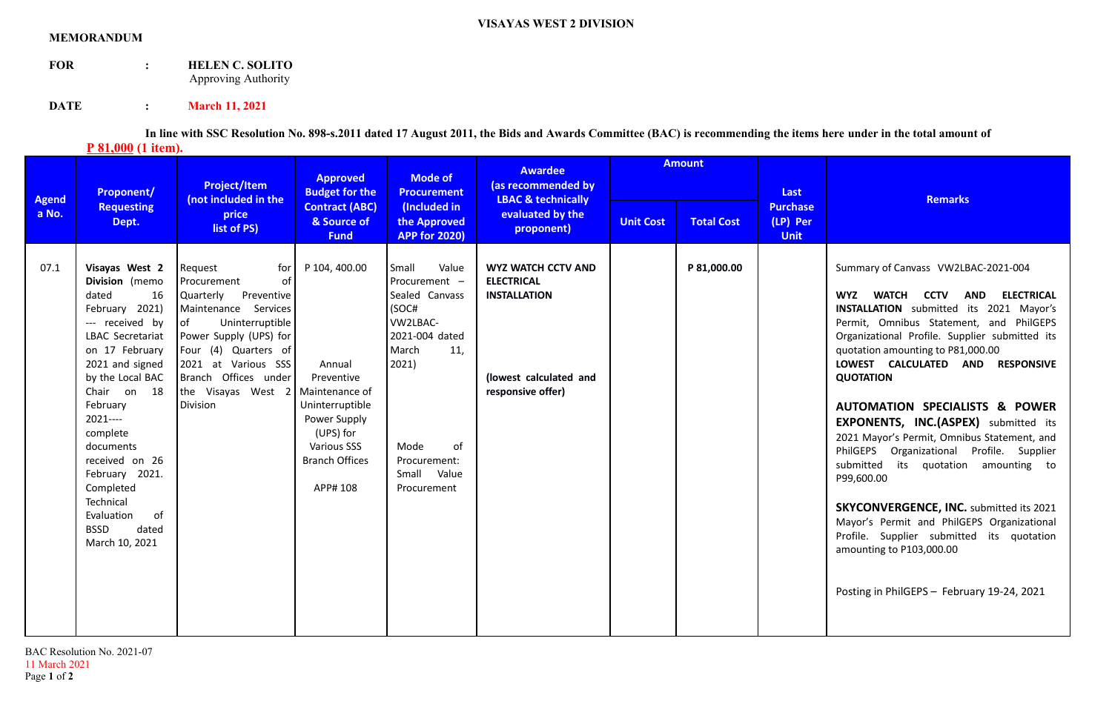## **MEMORANDUM**

**FOR : HELEN C. SOLITO** Approving Authority

**DATE** : **March 11, 2021** 

**In line with SSC Resolution No. 898-s.2011 dated 17 August 2011, the Bids and Awards Committee (BAC) is recommending the items here under in the total amount of P** 81,000 (1 item).

| <b>Agend</b><br>a No. | Proponent/<br><b>Requesting</b><br>Dept.                                                                                                                                                                                                                                                                                                                       | <b>Project/Item</b><br>(not included in the<br>price<br>list of PS)                                                                                                                                                                                                 | <b>Approved</b><br><b>Budget for the</b><br><b>Contract (ABC)</b><br>& Source of<br><b>Fund</b>                                                  | <b>Mode of</b><br><b>Procurement</b><br>(Included in<br>the Approved<br><b>APP for 2020)</b>                                                                                  | <b>Awardee</b><br>(as recommended by<br><b>LBAC &amp; technically</b><br>evaluated by the<br>proponent)              | <b>Amount</b>    |                   | Last                                       |                                                                                                                                                                                                                                                                                                                                                                                                                                                                                                                                                                                                                                                                                                                                                                                                      |
|-----------------------|----------------------------------------------------------------------------------------------------------------------------------------------------------------------------------------------------------------------------------------------------------------------------------------------------------------------------------------------------------------|---------------------------------------------------------------------------------------------------------------------------------------------------------------------------------------------------------------------------------------------------------------------|--------------------------------------------------------------------------------------------------------------------------------------------------|-------------------------------------------------------------------------------------------------------------------------------------------------------------------------------|----------------------------------------------------------------------------------------------------------------------|------------------|-------------------|--------------------------------------------|------------------------------------------------------------------------------------------------------------------------------------------------------------------------------------------------------------------------------------------------------------------------------------------------------------------------------------------------------------------------------------------------------------------------------------------------------------------------------------------------------------------------------------------------------------------------------------------------------------------------------------------------------------------------------------------------------------------------------------------------------------------------------------------------------|
|                       |                                                                                                                                                                                                                                                                                                                                                                |                                                                                                                                                                                                                                                                     |                                                                                                                                                  |                                                                                                                                                                               |                                                                                                                      | <b>Unit Cost</b> | <b>Total Cost</b> | <b>Purchase</b><br>(LP) Per<br><b>Unit</b> | <b>Remarks</b>                                                                                                                                                                                                                                                                                                                                                                                                                                                                                                                                                                                                                                                                                                                                                                                       |
| 07.1                  | Visayas West 2<br>Division (memo<br>dated<br>16<br>February 2021)<br>--- received by<br>LBAC Secretariat<br>on 17 February<br>2021 and signed<br>by the Local BAC<br>Chair on 18<br>February<br>$2021---$<br>complete<br>documents<br>received on 26<br>February 2021.<br>Completed<br>Technical<br>of<br>Evaluation<br><b>BSSD</b><br>dated<br>March 10, 2021 | Request<br>for<br>of<br>Procurement<br>Quarterly<br>Preventive<br>Maintenance Services<br>of<br>Uninterruptible<br>Power Supply (UPS) for<br>Four (4) Quarters of<br>2021 at Various SSS<br>Branch Offices under<br>the Visayas West $2$ Maintenance of<br>Division | P 104, 400.00<br>Annual<br>Preventive<br>Uninterruptible<br>Power Supply<br>(UPS) for<br><b>Various SSS</b><br><b>Branch Offices</b><br>APP# 108 | Small<br>Value<br>Procurement -<br>Sealed Canvass<br>(SOC#<br>VW2LBAC-<br>2021-004 dated<br>March<br>11.<br>2021)<br>Mode<br>of<br>Procurement:<br>Small Value<br>Procurement | <b>WYZ WATCH CCTV AND</b><br><b>ELECTRICAL</b><br><b>INSTALLATION</b><br>(lowest calculated and<br>responsive offer) |                  | P 81,000.00       |                                            | Summary of Canvass VW2LBAC-2021-004<br>WATCH CCTV<br><b>ELECTRICAL</b><br><b>WYZ</b><br>AND<br><b>INSTALLATION</b> submitted its 2021 Mayor's<br>Permit, Omnibus Statement, and PhilGEPS<br>Organizational Profile. Supplier submitted its<br>quotation amounting to P81,000.00<br>LOWEST CALCULATED AND RESPONSIVE<br><b>QUOTATION</b><br>AUTOMATION SPECIALISTS & POWER<br><b>EXPONENTS, INC.(ASPEX)</b> submitted its<br>2021 Mayor's Permit, Omnibus Statement, and<br>PhilGEPS Organizational Profile. Supplier<br>submitted<br>its quotation amounting to<br>P99,600.00<br><b>SKYCONVERGENCE, INC.</b> submitted its 2021<br>Mayor's Permit and PhilGEPS Organizational<br>Profile. Supplier submitted its quotation<br>amounting to P103,000.00<br>Posting in PhilGEPS - February 19-24, 2021 |